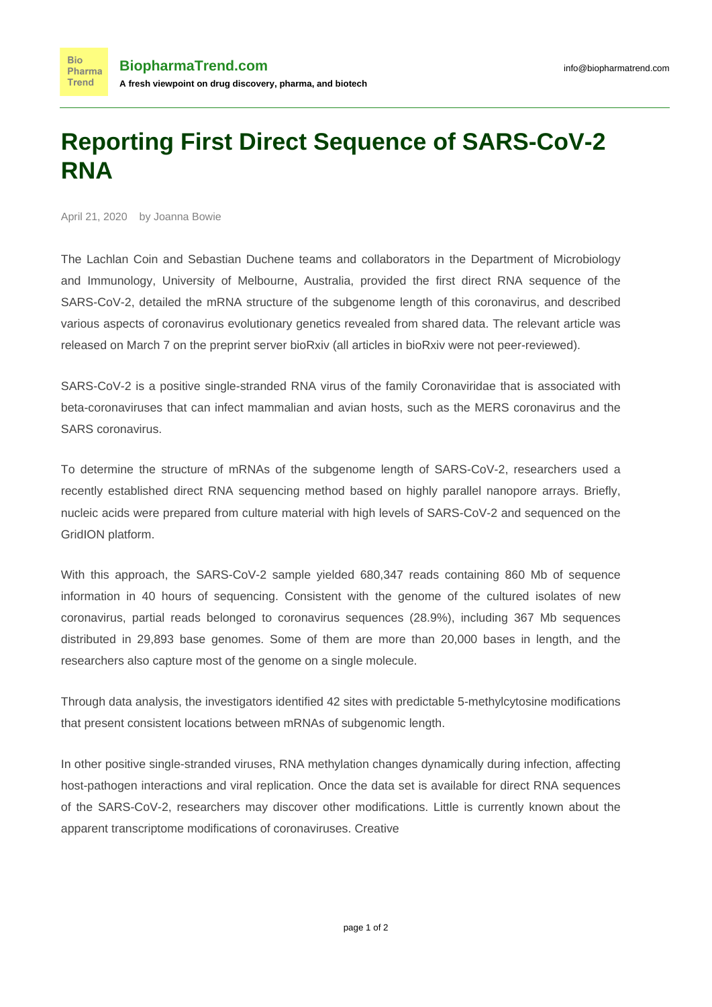## **Reporting First Direct Sequence of SARS-CoV-2 RNA**

April 21, 2020 by Joanna Bowie

**Bio** Pharma **Trend** 

The Lachlan Coin and Sebastian Duchene teams and collaborators in the Department of Microbiology and Immunology, University of Melbourne, Australia, provided the first direct RNA sequence of the SARS-CoV-2, detailed the mRNA structure of the subgenome length of this coronavirus, and described various aspects of coronavirus evolutionary genetics revealed from shared data. The [relevant article was](https://www.biorxiv.org/content/10.1101/2020.03.05.976167v1) [released](https://www.biorxiv.org/content/10.1101/2020.03.05.976167v1) on March 7 on the preprint server bioRxiv (all articles in bioRxiv were not peer-reviewed).

SARS-CoV-2 is a positive single-stranded RNA virus of the family Coronaviridae that is associated with beta-coronaviruses that can infect mammalian and avian hosts, such as the MERS coronavirus and the SARS coronavirus.

To determine the structure of mRNAs of the subgenome length of SARS-CoV-2, researchers used a recently established direct RNA sequencing method based on highly parallel nanopore arrays. Briefly, nucleic acids were prepared from culture material with high levels of SARS-CoV-2 and sequenced on the GridION platform.

With this approach, the SARS-CoV-2 sample yielded 680,347 reads containing 860 Mb of sequence information in 40 hours of sequencing. Consistent with the genome of the cultured isolates of new coronavirus, partial reads belonged to coronavirus sequences (28.9%), including 367 Mb sequences distributed in 29,893 base genomes. Some of them are more than 20,000 bases in length, and the researchers also capture most of the genome on a single molecule.

Through data analysis, the investigators identified 42 sites with predictable 5-methylcytosine modifications that present consistent locations between mRNAs of subgenomic length.

In other positive single-stranded viruses, RNA methylation changes dynamically during infection, affecting host-pathogen interactions and viral replication. Once the data set is available for direct RNA sequences of the SARS-CoV-2, researchers may discover other modifications. Little is currently known about the apparent transcriptome modifications of coronaviruses. Creative